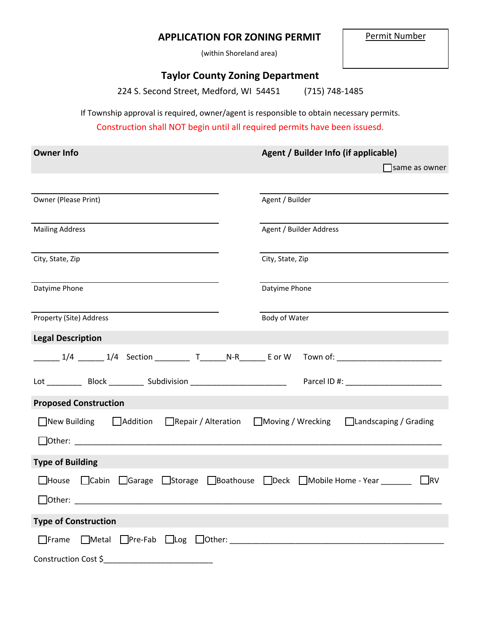# **APPLICATION FOR ZONING PERMIT**

(within Shoreland area)

## **Taylor County Zoning Department**

224 S. Second Street, Medford, WI 54451 (715) 748-1485

If Township approval is required, owner/agent is responsible to obtain necessary permits.

Construction shall NOT begin until all required permits have been issuesd.

| <b>Owner Info</b>                                                                                    | Agent / Builder Info (if applicable)                               |
|------------------------------------------------------------------------------------------------------|--------------------------------------------------------------------|
|                                                                                                      | same as owner                                                      |
|                                                                                                      |                                                                    |
| Owner (Please Print)                                                                                 | Agent / Builder                                                    |
|                                                                                                      |                                                                    |
| <b>Mailing Address</b>                                                                               | Agent / Builder Address                                            |
| City, State, Zip                                                                                     | City, State, Zip                                                   |
| Datyime Phone                                                                                        | Datyime Phone                                                      |
| Property (Site) Address                                                                              | Body of Water                                                      |
| <b>Legal Description</b>                                                                             |                                                                    |
| ______ 1/4 ______ 1/4 Section _________ T______N-R_______ E or W  Town of: _________________________ |                                                                    |
|                                                                                                      |                                                                    |
| <b>Proposed Construction</b>                                                                         |                                                                    |
| □ New Building<br>$\Box$ Addition $\Box$ Repair / Alteration                                         | ■ Moving / Wrecking<br>□Landscaping / Grading                      |
| $\Box$ Other: $\Box$                                                                                 |                                                                    |
| <b>Type of Building</b>                                                                              |                                                                    |
| $\Box$ House<br>$\Box$ Cabin<br>$\Box$ Garage                                                        | □Storage □Boathouse □Deck □Mobile Home - Year _______<br>$\Box$ RV |
|                                                                                                      |                                                                    |
| <b>Type of Construction</b>                                                                          |                                                                    |
| $\Box$ Metal $\Box$ Pre-Fab $\Box$ Log $\Box$ Other: $\Box$<br>$\Box$ Frame                          |                                                                    |
| Construction Cost \$                                                                                 |                                                                    |

Permit Number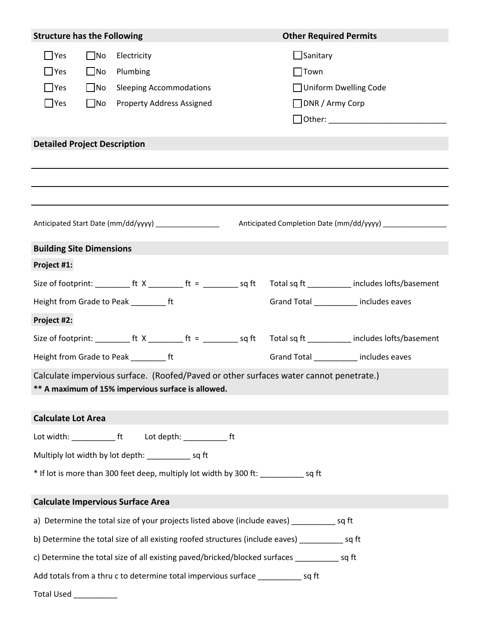| <b>Structure has the Following</b>                                                                |              |                                                                                             | <b>Other Required Permits</b> |                        |                                        |
|---------------------------------------------------------------------------------------------------|--------------|---------------------------------------------------------------------------------------------|-------------------------------|------------------------|----------------------------------------|
| $\Box$ Yes                                                                                        | $\square$ No | Electricity                                                                                 |                               | $\Box$ Sanitary        |                                        |
| $\Box$ Yes                                                                                        | $\Box$ No    | Plumbing                                                                                    |                               | $\Box$ Town            |                                        |
| $\Box$ Yes                                                                                        | $\Box$ No    | <b>Sleeping Accommodations</b>                                                              |                               |                        | Uniform Dwelling Code                  |
| $\Box$ Yes                                                                                        | $\square$ No | <b>Property Address Assigned</b>                                                            |                               | $\Box$ DNR / Army Corp |                                        |
|                                                                                                   |              |                                                                                             |                               |                        |                                        |
| <b>Detailed Project Description</b>                                                               |              |                                                                                             |                               |                        |                                        |
|                                                                                                   |              |                                                                                             |                               |                        |                                        |
|                                                                                                   |              |                                                                                             |                               |                        |                                        |
|                                                                                                   |              |                                                                                             |                               |                        |                                        |
|                                                                                                   |              |                                                                                             |                               |                        |                                        |
|                                                                                                   |              | Anticipated Start Date (mm/dd/yyyy) __________________                                      |                               |                        |                                        |
| <b>Building Site Dimensions</b>                                                                   |              |                                                                                             |                               |                        |                                        |
| Project #1:                                                                                       |              |                                                                                             |                               |                        |                                        |
|                                                                                                   |              |                                                                                             |                               |                        |                                        |
|                                                                                                   |              | Height from Grade to Peak ____________ ft                                                   |                               |                        | Grand Total _________ includes eaves   |
| Project #2:                                                                                       |              |                                                                                             |                               |                        |                                        |
|                                                                                                   |              |                                                                                             |                               |                        |                                        |
|                                                                                                   |              | Height from Grade to Peak __________ ft                                                     |                               |                        | Grand Total ___________ includes eaves |
|                                                                                                   |              | Calculate impervious surface. (Roofed/Paved or other surfaces water cannot penetrate.)      |                               |                        |                                        |
|                                                                                                   |              | ** A maximum of 15% impervious surface is allowed.                                          |                               |                        |                                        |
| <b>Calculate Lot Area</b>                                                                         |              |                                                                                             |                               |                        |                                        |
|                                                                                                   |              |                                                                                             |                               |                        |                                        |
|                                                                                                   |              |                                                                                             |                               |                        |                                        |
|                                                                                                   |              | Multiply lot width by lot depth: ______________ sq ft                                       |                               |                        |                                        |
|                                                                                                   |              | * If lot is more than 300 feet deep, multiply lot width by 300 ft: ______________ sq ft     |                               |                        |                                        |
|                                                                                                   |              | <b>Calculate Impervious Surface Area</b>                                                    |                               |                        |                                        |
|                                                                                                   |              | a) Determine the total size of your projects listed above (include eaves) ___________ sq ft |                               |                        |                                        |
| b) Determine the total size of all existing roofed structures (include eaves) _____________ sq ft |              |                                                                                             |                               |                        |                                        |
| c) Determine the total size of all existing paved/bricked/blocked surfaces ____________ sq ft     |              |                                                                                             |                               |                        |                                        |
|                                                                                                   |              | Add totals from a thru c to determine total impervious surface _____________ sq ft          |                               |                        |                                        |
| Total Used ____________                                                                           |              |                                                                                             |                               |                        |                                        |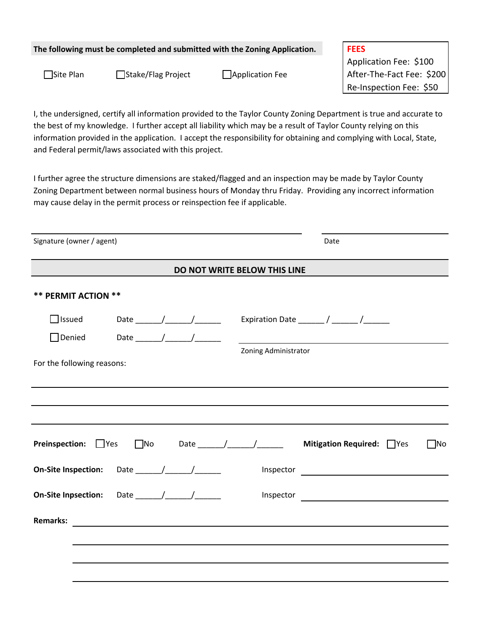### **The following must be completed and submitted with the Zoning Application. FEES**

Application Fee: \$100 □Site Plan □Stake/Flag Project □Application Fee | After-The-Fact Fee: \$200 Re-Inspection Fee: \$50

I, the undersigned, certify all information provided to the Taylor County Zoning Department is true and accurate to the best of my knowledge. I further accept all liability which may be a result of Taylor County relying on this information provided in the application. I accept the responsibility for obtaining and complying with Local, State, and Federal permit/laws associated with this project.

I further agree the structure dimensions are staked/flagged and an inspection may be made by Taylor County Zoning Department between normal business hours of Monday thru Friday. Providing any incorrect information may cause delay in the permit process or reinspection fee if applicable.

| Signature (owner / agent)  |           |  |                                                                                                                       | Date                      |           |
|----------------------------|-----------|--|-----------------------------------------------------------------------------------------------------------------------|---------------------------|-----------|
|                            |           |  | DO NOT WRITE BELOW THIS LINE                                                                                          |                           |           |
| <b>** PERMIT ACTION **</b> |           |  |                                                                                                                       |                           |           |
| $\Box$ Issued              |           |  |                                                                                                                       |                           |           |
| $\Box$ Denied              |           |  |                                                                                                                       |                           |           |
| For the following reasons: |           |  | Zoning Administrator                                                                                                  |                           |           |
|                            |           |  |                                                                                                                       |                           |           |
|                            |           |  |                                                                                                                       |                           |           |
| <b>Preinspection:</b> Pres | $\Box$ No |  |                                                                                                                       | Mitigation Required: PYes | $\Box$ No |
| <b>On-Site Inspection:</b> |           |  |                                                                                                                       |                           |           |
| <b>On-Site Inpsection:</b> |           |  |                                                                                                                       |                           |           |
| <b>Remarks:</b>            |           |  | <u> 1980 - Jan Stern Stern Stern Stern Stern Stern Stern Stern Stern Stern Stern Stern Stern Stern Stern Stern St</u> |                           |           |
|                            |           |  |                                                                                                                       |                           |           |
|                            |           |  |                                                                                                                       |                           |           |
|                            |           |  |                                                                                                                       |                           |           |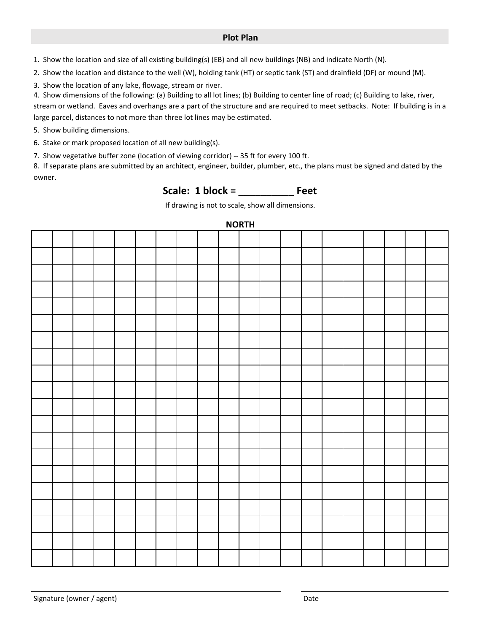### **Plot Plan**

1. Show the location and size of all existing building(s) (EB) and all new buildings (NB) and indicate North (N).

2. Show the location and distance to the well (W), holding tank (HT) or septic tank (ST) and drainfield (DF) or mound (M).

3. Show the location of any lake, flowage, stream or river.

4. Show dimensions of the following: (a) Building to all lot lines; (b) Building to center line of road; (c) Building to lake, river,

stream or wetland. Eaves and overhangs are a part of the structure and are required to meet setbacks. Note: If building is in a large parcel, distances to not more than three lot lines may be estimated.

5. Show building dimensions.

6. Stake or mark proposed location of all new building(s).

7. Show vegetative buffer zone (location of viewing corridor) -- 35 ft for every 100 ft.

8. If separate plans are submitted by an architect, engineer, builder, plumber, etc., the plans must be signed and dated by the owner.

Scale: 1 block = \_\_\_\_\_\_\_\_\_\_\_\_\_ Feet

If drawing is not to scale, show all dimensions.

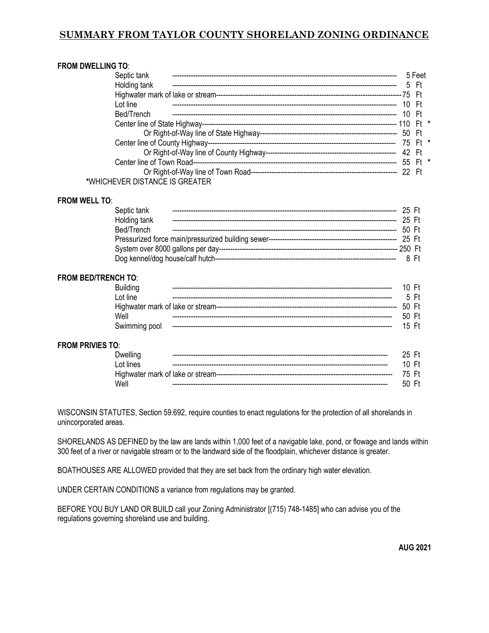## **SUMMARY FROM TAYLOR COUNTY SHORELAND ZONING ORDINANCE**

| <b>FROM DWELLING TO:</b>       |      |        |  |
|--------------------------------|------|--------|--|
| Septic tank                    |      | 5 Feet |  |
| Holding tank                   | 5 Ft |        |  |
|                                |      |        |  |
| I of line                      |      | - Ft   |  |
| Bed/Trench                     |      | - Ft   |  |
|                                |      |        |  |
|                                |      |        |  |
|                                |      |        |  |
|                                |      |        |  |
|                                |      |        |  |
|                                |      |        |  |
| *WHICHEVER DISTANCE IS GREATER |      |        |  |

#### **FROM WELL TO**:

| Septic tank  |  |          |      |
|--------------|--|----------|------|
| Holding tank |  | - 25. Ft |      |
| Bed/Trench   |  | 50F      |      |
|              |  |          |      |
|              |  |          |      |
|              |  |          | 8 Ft |

#### **FROM BED/TRENCH TO**:

| <b>Building</b> | 10Ft    |      |  |
|-----------------|---------|------|--|
| Lot line        |         | 5 Ft |  |
|                 | 50 Ft   |      |  |
| Well            | 50F     |      |  |
| Swimming pool   | $15$ Ft |      |  |
|                 |         |      |  |
| TO:             |         |      |  |

### **FROM PRIVIES**

| Dwelling  | 25 Ft |  |
|-----------|-------|--|
| Lot lines | 10 Ft |  |
|           | 75 Ft |  |
| Well      | 50 Ft |  |

WISCONSIN STATUTES, Section 59.692, require counties to enact regulations for the protection of all shorelands in unincorporated areas.

SHORELANDS AS DEFINED by the law are lands within 1,000 feet of a navigable lake, pond, or flowage and lands within 300 feet of a river or navigable stream or to the landward side of the floodplain, whichever distance is greater.

BOATHOUSES ARE ALLOWED provided that they are set back from the ordinary high water elevation.

UNDER CERTAIN CONDITIONS a variance from regulations may be granted.

BEFORE YOU BUY LAND OR BUILD call your Zoning Administrator [(715) 748-1485] who can advise you of the regulations governing shoreland use and building.